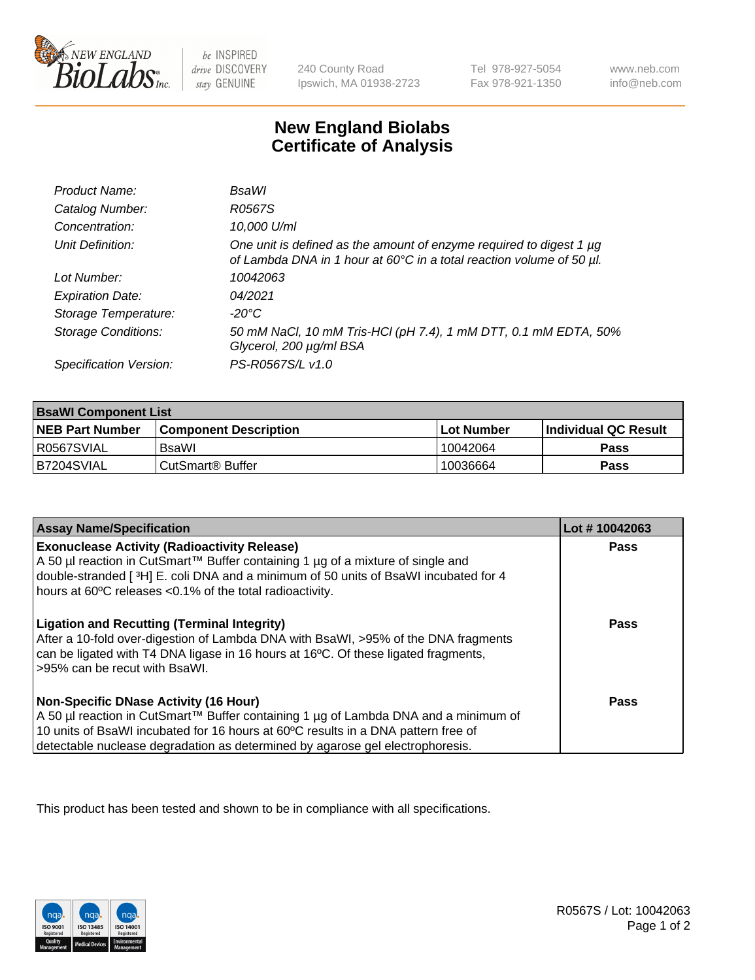

 $be$  INSPIRED drive DISCOVERY stay GENUINE

240 County Road Ipswich, MA 01938-2723 Tel 978-927-5054 Fax 978-921-1350 www.neb.com info@neb.com

## **New England Biolabs Certificate of Analysis**

| Product Name:              | BsaWl                                                                                                                                       |
|----------------------------|---------------------------------------------------------------------------------------------------------------------------------------------|
| Catalog Number:            | R0567S                                                                                                                                      |
| Concentration:             | 10,000 U/ml                                                                                                                                 |
| Unit Definition:           | One unit is defined as the amount of enzyme required to digest 1 µg<br>of Lambda DNA in 1 hour at 60°C in a total reaction volume of 50 µl. |
| Lot Number:                | 10042063                                                                                                                                    |
| <b>Expiration Date:</b>    | 04/2021                                                                                                                                     |
| Storage Temperature:       | $-20^{\circ}$ C                                                                                                                             |
| <b>Storage Conditions:</b> | 50 mM NaCl, 10 mM Tris-HCl (pH 7.4), 1 mM DTT, 0.1 mM EDTA, 50%<br>Glycerol, 200 µg/ml BSA                                                  |
| Specification Version:     | PS-R0567S/L v1.0                                                                                                                            |

| <b>BsaWI Component List</b> |                              |            |                             |  |  |
|-----------------------------|------------------------------|------------|-----------------------------|--|--|
| <b>NEB Part Number</b>      | <b>Component Description</b> | Lot Number | <b>Individual QC Result</b> |  |  |
| I R0567SVIAL                | BsaWl                        | 10042064   | Pass                        |  |  |
| B7204SVIAL                  | CutSmart <sup>®</sup> Buffer | 10036664   | Pass                        |  |  |

| <b>Assay Name/Specification</b>                                                                                                                                                                                                                                                                           | Lot #10042063 |
|-----------------------------------------------------------------------------------------------------------------------------------------------------------------------------------------------------------------------------------------------------------------------------------------------------------|---------------|
| <b>Exonuclease Activity (Radioactivity Release)</b><br>A 50 µl reaction in CutSmart™ Buffer containing 1 µg of a mixture of single and<br>double-stranded [3H] E. coli DNA and a minimum of 50 units of BsaWI incubated for 4<br>hours at 60°C releases <0.1% of the total radioactivity.                 | Pass          |
| <b>Ligation and Recutting (Terminal Integrity)</b><br>After a 10-fold over-digestion of Lambda DNA with BsaWI, >95% of the DNA fragments<br>can be ligated with T4 DNA ligase in 16 hours at 16°C. Of these ligated fragments,<br>>95% can be recut with BsaWI.                                           | <b>Pass</b>   |
| <b>Non-Specific DNase Activity (16 Hour)</b><br>A 50 µl reaction in CutSmart™ Buffer containing 1 µg of Lambda DNA and a minimum of<br>10 units of BsaWI incubated for 16 hours at 60°C results in a DNA pattern free of<br>detectable nuclease degradation as determined by agarose gel electrophoresis. | Pass          |

This product has been tested and shown to be in compliance with all specifications.